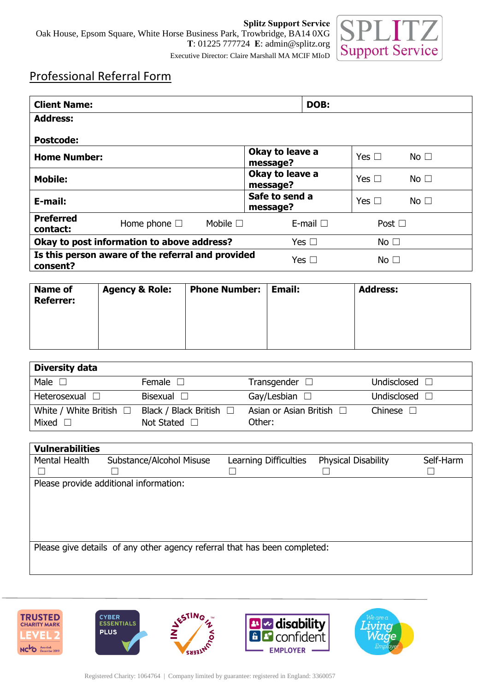

## Professional Referral Form

| <b>Client Name:</b>                                           |                      |                  | DOB:                        |               |                 |           |
|---------------------------------------------------------------|----------------------|------------------|-----------------------------|---------------|-----------------|-----------|
| <b>Address:</b>                                               |                      |                  |                             |               |                 |           |
| <b>Postcode:</b>                                              |                      |                  |                             |               |                 |           |
| <b>Home Number:</b>                                           |                      | message?         | Okay to leave a             |               | No $\square$    |           |
| <b>Mobile:</b>                                                |                      |                  | Okay to leave a<br>message? |               | Yes $\Box$      | No $\Box$ |
| E-mail:                                                       |                      |                  | Safe to send a<br>message?  |               | Yes $\Box$      | No $\Box$ |
| <b>Preferred</b><br>contact:                                  | Home phone $\square$ | Mobile $\square$ |                             | E-mail $\Box$ | Post $\Box$     |           |
| Okay to post information to above address?                    |                      |                  |                             | Yes $\Box$    | No $\square$    |           |
| Is this person aware of the referral and provided<br>consent? |                      |                  |                             | Yes $\square$ | No <sub>1</sub> |           |

| <b>Name of</b><br><b>Referrer:</b> | <b>Agency &amp; Role:</b> | <b>Phone Number:</b> | Email: | <b>Address:</b> |
|------------------------------------|---------------------------|----------------------|--------|-----------------|
|                                    |                           |                      |        |                 |

| <b>Diversity data</b>          |                                                   |                                         |             |
|--------------------------------|---------------------------------------------------|-----------------------------------------|-------------|
| Male                           | Female                                            | Transgender $\square$                   | Undisclosed |
| Heterosexual $\Box$            | Bisexual $\square$                                | Gay/Lesbian $\square$                   | Undisclosed |
| White / White British<br>Mixed | Black / Black British $\Box$<br>Not Stated $\Box$ | Asian or Asian British $\Box$<br>Other: | Chinese     |

| <b>Vulnerabilities</b>                                                    |                                        |                       |                            |           |  |
|---------------------------------------------------------------------------|----------------------------------------|-----------------------|----------------------------|-----------|--|
| Mental Health                                                             | Substance/Alcohol Misuse               | Learning Difficulties | <b>Physical Disability</b> | Self-Harm |  |
|                                                                           |                                        |                       |                            |           |  |
|                                                                           | Please provide additional information: |                       |                            |           |  |
|                                                                           |                                        |                       |                            |           |  |
|                                                                           |                                        |                       |                            |           |  |
|                                                                           |                                        |                       |                            |           |  |
|                                                                           |                                        |                       |                            |           |  |
| Please give details of any other agency referral that has been completed: |                                        |                       |                            |           |  |
|                                                                           |                                        |                       |                            |           |  |
|                                                                           |                                        |                       |                            |           |  |